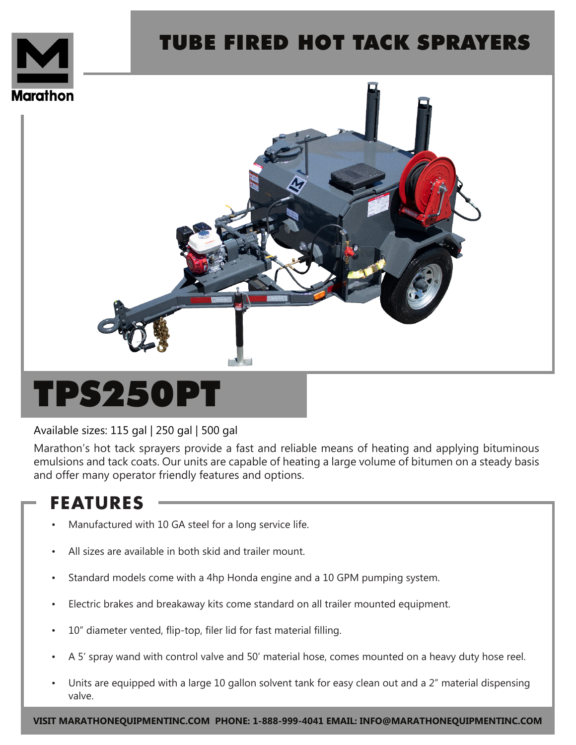

## TUBE FIRED HOT TACK SPRAYERS



# TPS250PT

#### Available sizes: 115 gal | 250 gal | 500 gal

Marathon's hot tack sprayers provide a fast and reliable means of heating and applying bituminous emulsions and tack coats. Our units are capable of heating a large volume of bitumen on a steady basis and offer many operator friendly features and options.

### **FEATURES**

- Manufactured with 10 GA steel for a long service life.
- All sizes are available in both skid and trailer mount.
- Standard models come with a 4hp Honda engine and a 10 GPM pumping system.
- Electric brakes and breakaway kits come standard on all trailer mounted equipment.
- 10" diameter vented, flip-top, filer lid for fast material filling.
- A 5' spray wand with control valve and 50' material hose, comes mounted on a heavy duty hose reel.
- Units are equipped with a large 10 gallon solvent tank for easy clean out and a 2" material dispensing valve.